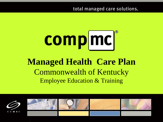total managed care solutions.

# comp mc

#### **Managed Health Care Plan** Commonwealth of Kentucky Employee Education & Training

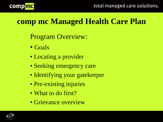

#### **comp mc Managed Health Care Plan**

Program Overview:

- Goals
- Locating a provider
- Seeking emergency care
- Identifying your gatekeeper
- Pre-existing injuries
- What to do first?
- Grievance overview

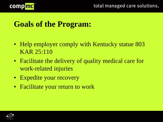

#### **Goals of the Program:**

- Help employer comply with Kentucky statue 803 KAR 25:110
- Facilitate the delivery of quality medical care for work-related injuries
- Expedite your recovery
- Facilitate your return to work

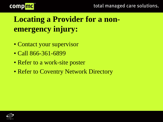



## **Locating a Provider for a nonemergency injury:**

- Contact your supervisor
- Call 866-361-6899
- Refer to a work-site poster
- Refer to Coventry Network Directory

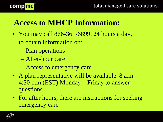

## **Access to MHCP Information:**

- You may call 866-361-6899, 24 hours a day, to obtain information on:
	- Plan operations
	- After-hour care
	- Access to emergency care
- A plan representative will be available  $8$  a.m  $-$ 4:30 p.m.(EST) Monday – Friday to answer questions
- For after hours, there are instructions for seeking emergency care

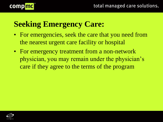

## **Seeking Emergency Care:**

- For emergencies, seek the care that you need from the nearest urgent care facility or hospital
- For emergency treatment from a non-network physician, you may remain under the physician's care if they agree to the terms of the program

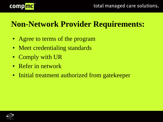

## **Non-Network Provider Requirements:**

- Agree to terms of the program
- Meet credentialing standards
- Comply with UR
- Refer in network
- Initial treatment authorized from gatekeeper

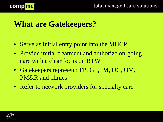

#### **What are Gatekeepers?**

- Serve as initial entry point into the MHCP
- Provide initial treatment and authorize on-going care with a clear focus on RTW
- Gatekeepers represent: FP, GP, IM, DC, OM, PM&R and clinics
- Refer to network providers for specialty care

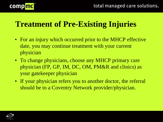

#### **Treatment of Pre-Existing Injuries**

- For an injury which occurred prior to the MHCP effective date, you may continue treatment with your current physician
- To change physicians, choose any MHCP primary care physician (FP, GP, IM, DC, OM, PM&R and clinics) as your gatekeeper physician
- If your physician refers you to another doctor, the referral should be to a Coventry Network provider/physician.

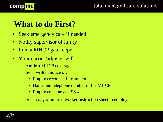

## **What to do First?**

- Seek emergency care if needed
- Notify supervisor of injury
- Find a MHCP gatekeeper
- Your carrier/adjuster will:
	- confirm MHCP coverage
	- Send written notice of:
		- Employer contact information
		- Name and telephone number of the MHCP
		- Employee name and SS #
	- Send copy of injured worker instruction sheet to employer